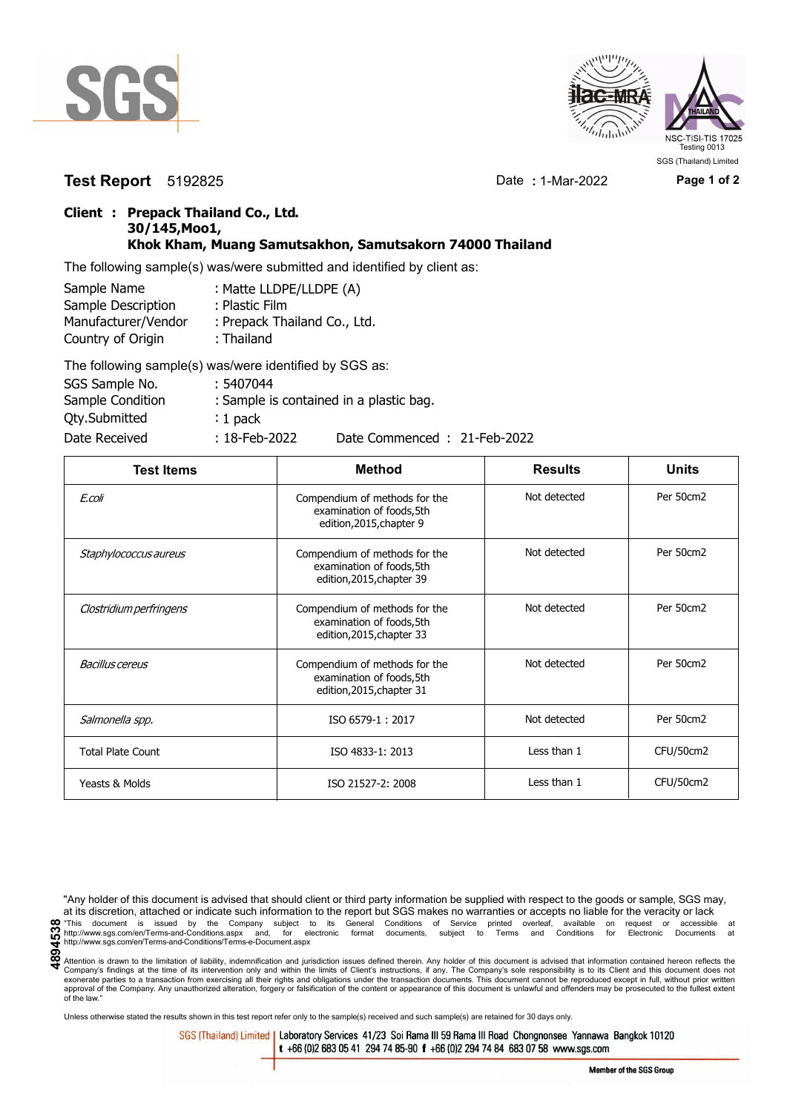



**Test Report** 5192825 Date **:** 1-Mar-2022 **Page 1 of 2**

SGS (Thailand) Limited

## **Client : Prepack Thailand Co., Ltd. 30/145,Moo1, Khok Kham, Muang Samutsakhon, Samutsakorn 74000 Thailand**

The following sample(s) was/were submitted and identified by client as:

| Sample Name         | : Matte LLDPE/LLDPE (A)      |
|---------------------|------------------------------|
| Sample Description  | : Plastic Film               |
| Manufacturer/Vendor | : Prepack Thailand Co., Ltd. |
| Country of Origin   | : Thailand                   |
|                     | TIP III III III III AAA      |

| The following sample(s) was/were identified by SGS as: |                  |                                         |
|--------------------------------------------------------|------------------|-----------------------------------------|
| SGS Sample No.                                         | : 5407044        |                                         |
| Sample Condition                                       |                  | : Sample is contained in a plastic bag. |
| Qty.Submitted                                          | $: 1$ pack       |                                         |
| Date Received                                          | $: 18$ -Feb-2022 | Date Commenced: 21-Feb-2022             |

| <b>Test Items</b>        | <b>Method</b>                                                                           | <b>Results</b> | <b>Units</b> |
|--------------------------|-----------------------------------------------------------------------------------------|----------------|--------------|
| E.coli                   | Compendium of methods for the<br>examination of foods, 5th<br>edition, 2015, chapter 9  | Not detected   | Per 50cm2    |
| Staphylococcus aureus    | Compendium of methods for the<br>examination of foods, 5th<br>edition, 2015, chapter 39 | Not detected   | Per 50cm2    |
| Clostridium perfringens  | Compendium of methods for the<br>examination of foods, 5th<br>edition, 2015, chapter 33 | Not detected   | Per 50cm2    |
| Bacillus cereus          | Compendium of methods for the<br>examination of foods, 5th<br>edition, 2015, chapter 31 | Not detected   | Per 50cm2    |
| Salmonella spp.          | ISO 6579-1:2017                                                                         | Not detected   | Per 50cm2    |
| <b>Total Plate Count</b> | ISO 4833-1: 2013                                                                        | Less than 1    | CFU/50cm2    |
| Yeasts & Molds           | ISO 21527-2: 2008                                                                       | Less than 1    | CFU/50cm2    |

"Any holder of this document is advised that should client or third party information be supplied with respect to the goods or sample, SGS may, at its discretion, attached or indicate such information to the report but SGS makes no warranties or accepts no liable for the veracity or lack metal conditions of Service printed overleaf, available on request or accessible at the decrement is issued by the Company subject to its General Conditions of Service printed overleaf, available on request or accessible a http://www.sgs.com/en/Terms-and-Conditions/Terms-e-Document.aspx

Attention is drawn to the limitation of liability, indemnification and jurisdiction issues defined therein. Any holder of this document is advised that information contained hereon reflects the Company's findings at the time of its intervention only and within the limits of Client's instructions, if any. The Company's sole responsibility is to its Client and this document does not<br>exonerate parties to a transacti approval of the Company. Any unauthorized alteration, forgery or falsification of the content or appearance of this document is unlawful and offenders may be prosecuted to the fullest extent approval of the Company. Any un of the law."

Unless otherwise stated the results shown in this test report refer only to the sample(s) received and such sample(s) are retained for 30 days only.

SGS (Thailand) Limited | Laboratory Services 41/23 Soi Rama III 59 Rama III Road Chongnonsee Yannawa Bangkok 10120 t +66 (0)2 683 05 41 294 74 85-90 f +66 (0)2 294 74 84 683 07 58 www.sgs.com